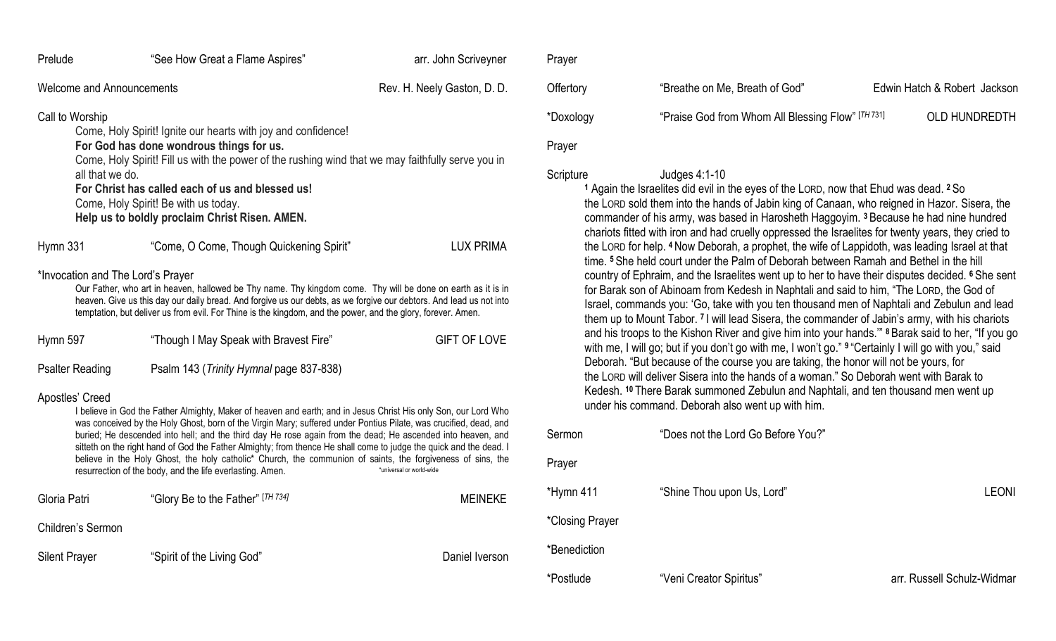| Prelude                                                                                                                                                                                                                                                                                                                                                                                                                                                                                                                                                                                                                                                                                              | "See How Great a Flame Aspires"          | arr. John Scriveyner |  |  |
|------------------------------------------------------------------------------------------------------------------------------------------------------------------------------------------------------------------------------------------------------------------------------------------------------------------------------------------------------------------------------------------------------------------------------------------------------------------------------------------------------------------------------------------------------------------------------------------------------------------------------------------------------------------------------------------------------|------------------------------------------|----------------------|--|--|
| <b>Welcome and Announcements</b>                                                                                                                                                                                                                                                                                                                                                                                                                                                                                                                                                                                                                                                                     | Rev. H. Neely Gaston, D. D.              |                      |  |  |
| Call to Worship<br>Come, Holy Spirit! Ignite our hearts with joy and confidence!<br>For God has done wondrous things for us.<br>Come, Holy Spirit! Fill us with the power of the rushing wind that we may faithfully serve you in<br>all that we do.<br>For Christ has called each of us and blessed us!<br>Come, Holy Spirit! Be with us today.<br>Help us to boldly proclaim Christ Risen. AMEN.                                                                                                                                                                                                                                                                                                   |                                          |                      |  |  |
| Hymn 331                                                                                                                                                                                                                                                                                                                                                                                                                                                                                                                                                                                                                                                                                             | "Come, O Come, Though Quickening Spirit" | <b>LUX PRIMA</b>     |  |  |
| *Invocation and The Lord's Prayer<br>Our Father, who art in heaven, hallowed be Thy name. Thy kingdom come. Thy will be done on earth as it is in<br>heaven. Give us this day our daily bread. And forgive us our debts, as we forgive our debtors. And lead us not into<br>temptation, but deliver us from evil. For Thine is the kingdom, and the power, and the glory, forever. Amen.                                                                                                                                                                                                                                                                                                             |                                          |                      |  |  |
| Hymn 597                                                                                                                                                                                                                                                                                                                                                                                                                                                                                                                                                                                                                                                                                             | "Though I May Speak with Bravest Fire"   | <b>GIFT OF LOVE</b>  |  |  |
| <b>Psalter Reading</b>                                                                                                                                                                                                                                                                                                                                                                                                                                                                                                                                                                                                                                                                               | Psalm 143 (Trinity Hymnal page 837-838)  |                      |  |  |
| Apostles' Creed<br>I believe in God the Father Almighty, Maker of heaven and earth; and in Jesus Christ His only Son, our Lord Who<br>was conceived by the Holy Ghost, born of the Virgin Mary; suffered under Pontius Pilate, was crucified, dead, and<br>buried; He descended into hell; and the third day He rose again from the dead; He ascended into heaven, and<br>sitteth on the right hand of God the Father Almighty; from thence He shall come to judge the quick and the dead. I<br>believe in the Holy Ghost, the holy catholic* Church, the communion of saints, the forgiveness of sins, the<br>*universal or world-wide<br>resurrection of the body, and the life everlasting. Amen. |                                          |                      |  |  |
| Gloria Patri                                                                                                                                                                                                                                                                                                                                                                                                                                                                                                                                                                                                                                                                                         | "Glory Be to the Father" [TH 734]        | <b>MEINEKE</b>       |  |  |
| Children's Sermon                                                                                                                                                                                                                                                                                                                                                                                                                                                                                                                                                                                                                                                                                    |                                          |                      |  |  |
| <b>Silent Prayer</b>                                                                                                                                                                                                                                                                                                                                                                                                                                                                                                                                                                                                                                                                                 | "Spirit of the Living God"               | Daniel Iverson       |  |  |

| Prayer    |                                                   |                              |
|-----------|---------------------------------------------------|------------------------------|
| Offertory | "Breathe on Me, Breath of God"                    | Edwin Hatch & Robert Jackson |
| *Doxology | "Praise God from Whom All Blessing Flow" [TH 731] | <b>OLD HUNDREDTH</b>         |

# Prayer

### Scripture Judges 4:1-10

**<sup>1</sup>** Again the Israelites did evil in the eyes of the LORD, now that Ehud was dead. **<sup>2</sup>** So the LORD sold them into the hands of Jabin king of Canaan, who reigned in Hazor. Sisera, the commander of his army, was based in Harosheth Haggoyim. **<sup>3</sup>** Because he had nine hundred chariots fitted with iron and had cruelly oppressed the Israelites for twenty years, they cried to the LORD for help. **<sup>4</sup>** Now Deborah, a prophet, the wife of Lappidoth, was leading Israel at that time. **<sup>5</sup>** She held court under the Palm of Deborah between Ramah and Bethel in the hill country of Ephraim, and the Israelites went up to her to have their disputes decided. **<sup>6</sup>** She sent for Barak son of Abinoam from Kedesh in Naphtali and said to him, "The LORD, the God of Israel, commands you: 'Go, take with you ten thousand men of Naphtali and Zebulun and lead them up to Mount Tabor. **<sup>7</sup>** I will lead Sisera, the commander of Jabin's army, with his chariots and his troops to the Kishon River and give him into your hands.'" **<sup>8</sup>** Barak said to her, "If you go with me, I will go; but if you don't go with me, I won't go." <sup>9</sup> "Certainly I will go with you," said Deborah. "But because of the course you are taking, the honor will not be yours, for the LORD will deliver Sisera into the hands of a woman." So Deborah went with Barak to Kedesh. **<sup>10</sup>** There Barak summoned Zebulun and Naphtali, and ten thousand men went up under his command. Deborah also went up with him.

| Sermon          | "Does not the Lord Go Before You?" |                            |
|-----------------|------------------------------------|----------------------------|
| Prayer          |                                    |                            |
| *Hymn 411       | "Shine Thou upon Us, Lord"         | <b>LEONI</b>               |
| *Closing Prayer |                                    |                            |
| *Benediction    |                                    |                            |
| *Postlude       | "Veni Creator Spiritus"            | arr. Russell Schulz-Widmar |